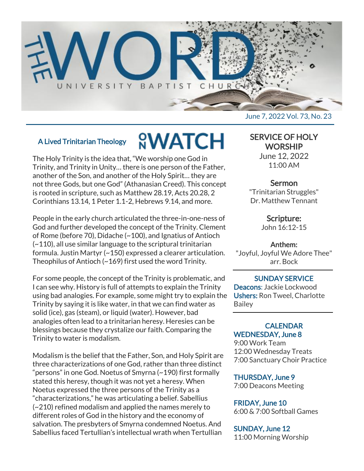

# A Lived Trinitarian Theology

# **<u>NWATCH</u>**

The Holy Trinity is the idea that, "We worship one God in Trinity, and Trinity in Unity… there is one person of the Father, another of the Son, and another of the Holy Spirit… they are not three Gods, but one God" (Athanasian Creed). This concept is rooted in scripture, such as Matthew 28.19, Acts 20.28, 2 Corinthians 13.14, 1 Peter 1.1-2, Hebrews 9.14, and more.

People in the early church articulated the three-in-one-ness of God and further developed the concept of the Trinity. Clement of Rome (before 70), Didache (~100), and Ignatius of Antioch (~110), all use similar language to the scriptural trinitarian formula. Justin Martyr (~150) expressed a clearer articulation. Theophilus of Antioch (~169) first used the word Trinity.

For some people, the concept of the Trinity is problematic, and I can see why. History is full of attempts to explain the Trinity using bad analogies. For example, some might try to explain the Trinity by saying it is like water, in that we can find water as solid (ice), gas (steam), or liquid (water). However, bad analogies often lead to a trinitarian heresy. Heresies can be blessings because they crystalize our faith. Comparing the Trinity to water is modalism.

Modalism is the belief that the Father, Son, and Holy Spirit are three characterizations of one God, rather than three distinct "persons" in one God. Noetus of Smyrna (~190) first formally stated this heresy, though it was not yet a heresy. When Noetus expressed the three persons of the Trinity as a "characterizations," he was articulating a belief. Sabellius (~210) refined modalism and applied the names merely to different roles of God in the history and the economy of salvation. The presbyters of Smyrna condemned Noetus. And Sabellius faced Tertullian's intellectual wrath when Tertullian

June 7, 2022 Vol. 73, No. 23

# SERVICE OF HOLY **WORSHIP**

June 12, 2022 11:00 AM

# Sermon

"Trinitarian Struggles" Dr. Matthew Tennant

# Scripture:

John 16:12-15

#### Anthem:

"Joyful, Joyful We Adore Thee" arr. Bock

SUNDAY SERVICE Deacons: Jackie Lockwood Ushers: Ron Tweel, Charlotte Bailey

#### **CALENDAR** WEDNESDAY, June 8

9:00 Work Team 12:00 Wednesday Treats 7:00 Sanctuary Choir Practice

#### THURSDAY, June 9

7:00 Deacons Meeting

#### FRIDAY, June 10

6:00 & 7:00 Softball Games

# SUNDAY, June 12

11:00 Morning Worship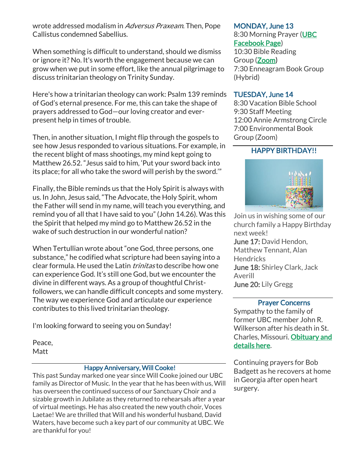wrote addressed modalism in Adversus Praxeam. Then, Pope Callistus condemned Sabellius.

When something is difficult to understand, should we dismiss or ignore it? No. It's worth the engagement because we can grow when we put in some effort, like the annual pilgrimage to discuss trinitarian theology on Trinity Sunday.

Here's how a trinitarian theology can work: Psalm 139 reminds of God's eternal presence. For me, this can take the shape of prayers addressed to God—our loving creator and everpresent help in times of trouble.

Then, in another situation, I might flip through the gospels to see how Jesus responded to various situations. For example, in the recent blight of mass shootings, my mind kept going to Matthew 26.52. "Jesus said to him, 'Put your sword back into its place; for all who take the sword will perish by the sword.'"

Finally, the Bible reminds us that the Holy Spirit is always with us. In John, Jesus said, "The Advocate, the Holy Spirit, whom the Father will send in my name, will teach you everything, and remind you of all that I have said to you" (John 14.26). Was this the Spirit that helped my mind go to Matthew 26.52 in the wake of such destruction in our wonderful nation?

When Tertullian wrote about "one God, three persons, one substance," he codified what scripture had been saying into a clear formula. He used the Latin *trinitas* to describe how one can experience God. It's still one God, but we encounter the divine in different ways. As a group of thoughtful Christfollowers, we can handle difficult concepts and some mystery. The way we experience God and articulate our experience contributes to this lived trinitarian theology.

I'm looking forward to seeing you on Sunday!

Peace, Matt

#### Happy Anniversary, Will Cooke!

This past Sunday marked one year since Will Cooke joined our UBC family as Director of Music. In the year that he has been with us, Will has overseen the continued success of our Sanctuary Choir and a sizable growth in Jubilate as they returned to rehearsals after a year of virtual meetings. He has also created the new youth choir, Voces Laetae! We are thrilled that Will and his wonderful husband, David Waters, have become such a key part of our community at UBC. We are thankful for you!

#### MONDAY, June 13

8:30 Morning Prayer [\(UBC](https://www.facebook.com/UniversityBaptistChurchCharlottesville) [Facebook Page\)](https://www.facebook.com/UniversityBaptistChurchCharlottesville) 10:30 Bible Reading Group [\(Zoom\)](https://us02web.zoom.us/j/85381408096?pwd=MzdkVG9JZ2x0M2JFK01KNlNjSWtqUT09) 7:30 Enneagram Book Group (Hybrid)

#### TUESDAY, June 14

8:30 Vacation Bible School 9:30 Staff Meeting 12:00 Annie Armstrong Circle 7:00 Environmental Book Group (Zoom)

# HAPPY BIRTHDAY!!



Join us in wishing some of our church family a Happy Birthday next week! June 17: David Hendon, Matthew Tennant, Alan **Hendricks** June 18: Shirley Clark, Jack Averill June 20: Lily Gregg

#### Prayer Concerns

Sympathy to the family of former UBC member John R. Wilkerson after his death in St. Charles, Missouri. [Obituary and](https://www.paulfuneral.com/obituaries/John-R.-Wilkerson?obId=24978924#/celebrationWall)  [details here.](https://www.paulfuneral.com/obituaries/John-R.-Wilkerson?obId=24978924#/celebrationWall)

Continuing prayers for Bob Badgett as he recovers at home in Georgia after open heart surgery.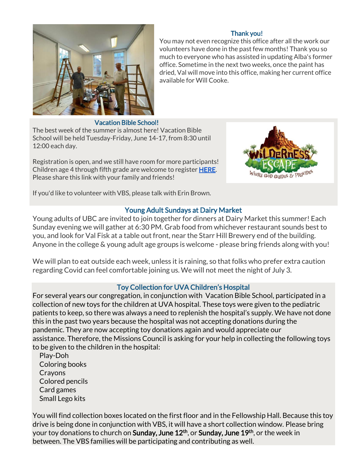

#### Thank you!

You may not even recognize this office after all the work our volunteers have done in the past few months! Thank you so much to everyone who has assisted in updating Alba's former office. Sometime in the next two weeks, once the paint has dried, Val will move into this office, making her current office available for Will Cooke.

#### Vacation Bible School!

The best week of the summer is almost here! Vacation Bible School will be held Tuesday-Friday, June 14-17, from 8:30 until 12:00 each day.

Registration is open, and we still have room for more participants! Children age 4 through fifth grade are welcome to register **HERE**. Please share this link with your family and friends!



If you'd like to volunteer with VBS, please talk with Erin Brown.

### Young Adult Sundays at Dairy Market

Young adults of UBC are invited to join together for dinners at Dairy Market this summer! Each Sunday evening we will gather at 6:30 PM. Grab food from whichever restaurant sounds best to you, and look for Val Fisk at a table out front, near the Starr Hill Brewery end of the building. Anyone in the college & young adult age groups is welcome - please bring friends along with you!

We will plan to eat outside each week, unless it is raining, so that folks who prefer extra caution regarding Covid can feel comfortable joining us. We will not meet the night of July 3.

#### Toy Collection for UVA Children's Hospital

For several years our congregation, in conjunction with Vacation Bible School, participated in a collection of new toys for the children at UVA hospital. These toys were given to the pediatric patients to keep, so there was always a need to replenish the hospital's supply. We have not done this in the past two years because the hospital was not accepting donations during the pandemic. They are now accepting toy donations again and would appreciate our assistance. Therefore, the Missions Council is asking for your help in collecting the following toys to be given to the children in the hospital:

 Play-Doh Coloring books Crayons Colored pencils Card games Small Lego kits

You will find collection boxes located on the first floor and in the Fellowship Hall. Because this toy drive is being done in conjunction with VBS, it will have a short collection window. Please bring your toy donations to church on Sunday, June 12<sup>th</sup>, or Sunday, June 19<sup>th</sup>, or the week in between. The VBS families will be participating and contributing as well.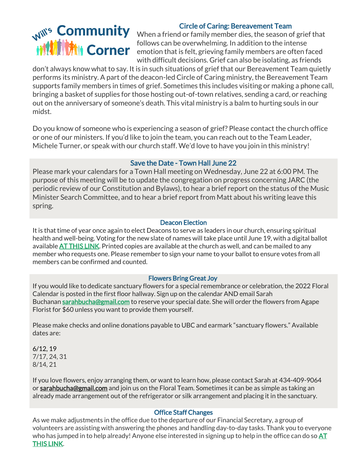## Circle of Caring: Bereavement Team

Will's Community When a friend or family member dies, the season of grief that follows can be overwhelming. In addition to the intense emotion that is felt, grieving family members are often faced with difficult decisions. Grief can also be isolating, as friends

don't always know what to say. It is in such situations of grief that our Bereavement Team quietly performs its ministry. A part of the deacon-led Circle of Caring ministry, the Bereavement Team supports family members in times of grief. Sometimes this includes visiting or making a phone call, bringing a basket of supplies for those hosting out-of-town relatives, sending a card, or reaching out on the anniversary of someone's death. This vital ministry is a balm to hurting souls in our midst.

Do you know of someone who is experiencing a season of grief? Please contact the church office or one of our ministers. If you'd like to join the team, you can reach out to the Team Leader, Michele Turner, or speak with our church staff. We'd love to have you join in this ministry!

#### Save the Date - Town Hall June 22

Please mark your calendars for a Town Hall meeting on Wednesday, June 22 at 6:00 PM. The purpose of this meeting will be to update the congregation on progress concerning JARC (the periodic review of our Constitution and Bylaws), to hear a brief report on the status of the Music Minister Search Committee, and to hear a brief report from Matt about his writing leave this spring.

#### Deacon Election

It is that time of year once again to elect Deacons to serve as leaders in our church, ensuring spiritual health and well-being. Voting for the new slate of names will take place until June 19, with a digital ballot available [AT THIS LINK.](https://forms.gle/K6jwZQbydPCf1FdR9) Printed copies are available at the church as well, and can be mailed to any member who requests one. Please remember to sign your name to your ballot to ensure votes from all members can be confirmed and counted.

#### Flowers Bring Great Joy

If you would like to dedicate sanctuary flowers for a special remembrance or celebration, the 2022 Floral Calendar is posted in the first floor hallway. Sign up on the calendar AND email Sarah Buchanan [sarahbucha@gmail.com](mailto:sarahbucha@gmail.com) to reserve your special date. She will order the flowers from Agape Florist for \$60 unless you want to provide them yourself.

Please make checks and online donations payable to UBC and earmark "sanctuary flowers." Available dates are:

6/12, 19 7/17, 24, 31 8/14, 21

If you love flowers, enjoy arranging them, or want to learn how, please contact Sarah at 434-409-9064 or [sarahbucha@gmail.com](mailto:sarahbucha@gmail.com) and join us on the Floral Team. Sometimes it can be as simple as taking an already made arrangement out of the refrigerator or silk arrangement and placing it in the sanctuary.

#### Office Staff Changes

As we make adjustments in the office due to the departure of our Financial Secretary, a group of volunteers are assisting with answering the phones and handling day-to-day tasks. Thank you to everyone who has jumped in to help already! Anyone else interested in signing up to help in the office can do so  $AT$ [THIS LINK.](https://www.signupgenius.com/go/10C0D4EADA62AA3F9C70-ubcoffice)